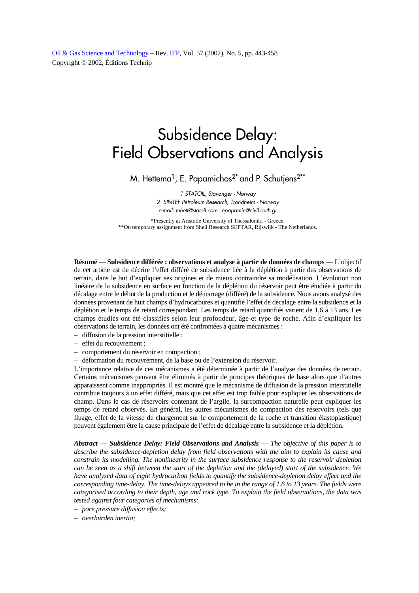[Oil & Gas Science and Technology](http://ogst.ifp.fr/) – Rev. [IFP,](http://www.ifp.fr/) Vol. 57 (2002), No. 5, pp. 443-458 Copyright © 2002, Éditions Technip

# Subsidence Delay: Field Observations and Analysis

M. Hettema<sup>1</sup>, E. Papamichos<sup>2\*</sup> and P. Schutjens<sup>2\*\*</sup>

*1 STATOIL, Stavanger - Norway 2 SINTEF Petroleum Research, Trondheim - Norway e-mail: mhett@statoil.com - epapamic@civil.auth.gr*

\*Presently at Aristotle University of Thessaloniki - Greece. \*\*On temporary assignment from Shell Research SEPTAR, Rijswijk - The Netherlands.

**Résumé** — **Subsidence différée : observations et analyse à partir de données de champs** — L'objectif de cet article est de décrire l'effet différé de subsidence liée à la déplétion à partir des observations de terrain, dans le but d'expliquer ses origines et de mieux contraindre sa modélisation. L'évolution non linéaire de la subsidence en surface en fonction de la déplétion du réservoir peut être étudiée à partir du décalage entre le début de la production et le démarrage (différé) de la subsidence. Nous avons analysé des données provenant de huit champs d'hydrocarbures et quantifié l'effet de décalage entre la subsidence et la déplétion et le temps de retard correspondant. Les temps de retard quantifiés varient de 1,6 à 13 ans. Les champs étudiés ont été classifiés selon leur profondeur, âge et type de roche. Afin d'expliquer les observations de terrain, les données ont été confrontées à quatre mécanismes :

- diffusion de la pression interstitielle ;
- effet du recouvrement ;
- comportement du réservoir en compaction ;
- déformation du recouvrement, de la base ou de l'extension du réservoir.

L'importance relative de ces mécanismes a été déterminée à partir de l'analyse des données de terrain. Certains mécanismes peuvent être éliminés à partir de principes théoriques de base alors que d'autres apparaissent comme inappropriés. Il est montré que le mécanisme de diffusion de la pression interstitielle contribue toujours à un effet différé, mais que cet effet est trop faible pour expliquer les observations de champ. Dans le cas de réservoirs contenant de l'argile, la surcompaction naturelle peut expliquer les temps de retard observés. En général, les autres mécanismes de compaction des réservoirs (tels que fluage, effet de la vitesse de chargement sur le comportement de la roche et transition élastoplastique) peuvent également être la cause principale de l'effet de décalage entre la subsidence et la déplétion.

*Abstract* — *Subsidence Delay: Field Observations and Analysis* — *The objective of this paper is to describe the subsidence-depletion delay from field observations with the aim to explain its cause and constrain its modelling. The nonlinearity in the surface subsidence response to the reservoir depletion can be seen as a shift between the start of the depletion and the (delayed) start of the subsidence. We have analysed data of eight hydrocarbon fields to quantify the subsidence-depletion delay effect and the corresponding time-delay. The time-delays appeared to be in the range of 1.6 to 13 years. The fields were categorised according to their depth, age and rock type. To explain the field observations, the data was tested against four categories of mechanisms:*

- *pore pressure diffusion effects;*
- *overburden inertia;*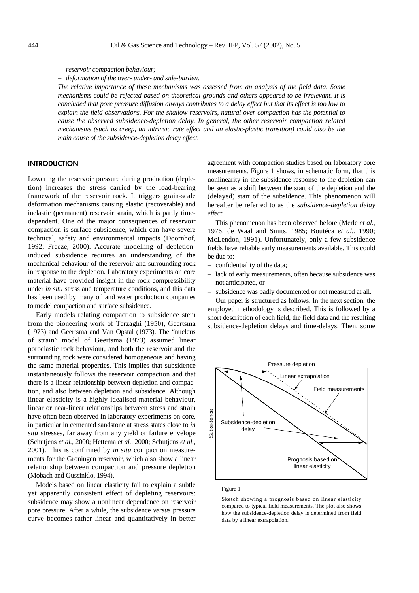*– reservoir compaction behaviour;*

*– deformation of the over- under- and side-burden.* 

*The relative importance of these mechanisms was assessed from an analysis of the field data. Some mechanisms could be rejected based on theoretical grounds and others appeared to be irrelevant. It is concluded that pore pressure diffusion always contributes to a delay effect but that its effect is too low to explain the field observations. For the shallow reservoirs, natural over-compaction has the potential to cause the observed subsidence-depletion delay. In general, the other reservoir compaction related mechanisms (such as creep, an intrinsic rate effect and an elastic-plastic transition) could also be the main cause of the subsidence-depletion delay effect.* 

#### **INTRODUCTION**

Lowering the reservoir pressure during production (depletion) increases the stress carried by the load-bearing framework of the reservoir rock. It triggers grain-scale deformation mechanisms causing elastic (recoverable) and inelastic (permanent) reservoir strain, which is partly timedependent. One of the major consequences of reservoir compaction is surface subsidence, which can have severe technical, safety and environmental impacts (Doornhof, 1992; Freeze, 2000). Accurate modelling of depletioninduced subsidence requires an understanding of the mechanical behaviour of the reservoir and surrounding rock in response to the depletion. Laboratory experiments on core material have provided insight in the rock compressibility under *in situ* stress and temperature conditions, and this data has been used by many oil and water production companies to model compaction and surface subsidence.

Early models relating compaction to subsidence stem from the pioneering work of Terzaghi (1950), Geertsma (1973) and Geertsma and Van Opstal (1973). The "nucleus of strain" model of Geertsma (1973) assumed linear poroelastic rock behaviour, and both the reservoir and the surrounding rock were considered homogeneous and having the same material properties. This implies that subsidence instantaneously follows the reservoir compaction and that there is a linear relationship between depletion and compaction, and also between depletion and subsidence. Although linear elasticity is a highly idealised material behaviour, linear or near-linear relationships between stress and strain have often been observed in laboratory experiments on core, in particular in cemented sandstone at stress states close to *in situ* stresses, far away from any yield or failure envelope (Schutjens *et al.*, 2000; Hettema *et al.*, 2000; Schutjens *et al.*, 2001). This is confirmed by *in situ* compaction measurements for the Groningen reservoir, which also show a linear relationship between compaction and pressure depletion (Mobach and Gussinklo, 1994).

Models based on linear elasticity fail to explain a subtle yet apparently consistent effect of depleting reservoirs: subsidence may show a nonlinear dependence on reservoir pore pressure. After a while, the subsidence *versus* pressure curve becomes rather linear and quantitatively in better

agreement with compaction studies based on laboratory core measurements. Figure 1 shows, in schematic form, that this nonlinearity in the subsidence response to the depletion can be seen as a shift between the start of the depletion and the (delayed) start of the subsidence. This phenomenon will hereafter be referred to as the *subsidence-depletion delay effect*.

This phenomenon has been observed before (Merle *et al.*, 1976; de Waal and Smits, 1985; Boutéca *et al.*, 1990; McLendon, 1991). Unfortunately, only a few subsidence fields have reliable early measurements available. This could be due to:

- confidentiality of the data;
- lack of early measurements, often because subsidence was not anticipated, or
- subsidence was badly documented or not measured at all.

Our paper is structured as follows. In the next section, the employed methodology is described. This is followed by a short description of each field, the field data and the resulting subsidence-depletion delays and time-delays. Then, some



Figure 1

Sketch showing a prognosis based on linear elasticity compared to typical field measurements. The plot also shows how the subsidence-depletion delay is determined from field data by a linear extrapolation.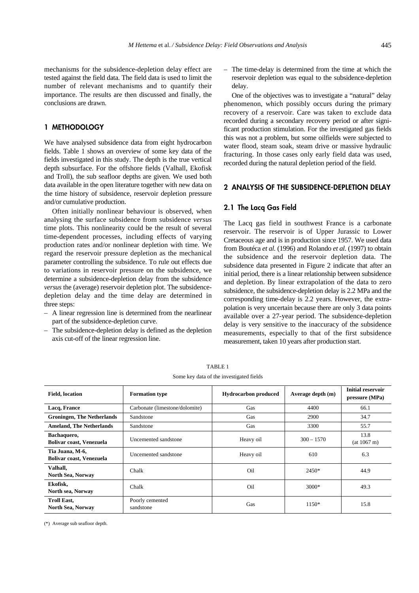mechanisms for the subsidence-depletion delay effect are tested against the field data. The field data is used to limit the number of relevant mechanisms and to quantify their importance. The results are then discussed and finally, the conclusions are drawn.

# **1 METHODOLOGY**

We have analysed subsidence data from eight hydrocarbon fields. Table 1 shows an overview of some key data of the fields investigated in this study. The depth is the true vertical depth subsurface. For the offshore fields (Valhall, Ekofisk and Troll), the sub seafloor depths are given. We used both data available in the open literature together with new data on the time history of subsidence, reservoir depletion pressure and/or cumulative production.

Often initially nonlinear behaviour is observed, when analysing the surface subsidence from subsidence *versus* time plots. This nonlinearity could be the result of several time-dependent processes, including effects of varying production rates and/or nonlinear depletion with time. We regard the reservoir pressure depletion as the mechanical parameter controlling the subsidence. To rule out effects due to variations in reservoir pressure on the subsidence, we determine a subsidence-depletion delay from the subsidence *versus* the (average) reservoir depletion plot. The subsidencedepletion delay and the time delay are determined in three steps:

- A linear regression line is determined from the nearlinear part of the subsidence-depletion curve.
- The subsidence-depletion delay is defined as the depletion axis cut-off of the linear regression line.

– The time-delay is determined from the time at which the reservoir depletion was equal to the subsidence-depletion delay.

One of the objectives was to investigate a "natural" delay phenomenon, which possibly occurs during the primary recovery of a reservoir. Care was taken to exclude data recorded during a secondary recovery period or after significant production stimulation. For the investigated gas fields this was not a problem, but some oilfields were subjected to water flood, steam soak, steam drive or massive hydraulic fracturing. In those cases only early field data was used, recorded during the natural depletion period of the field.

#### **2 ANALYSIS OF THE SUBSIDENCE-DEPLETION DELAY**

## **2.1 The Lacq Gas Field**

The Lacq gas field in southwest France is a carbonate reservoir. The reservoir is of Upper Jurassic to Lower Cretaceous age and is in production since 1957. We used data from Boutéca *et al.* (1996) and Rolando *et al.* (1997) to obtain the subsidence and the reservoir depletion data. The subsidence data presented in Figure 2 indicate that after an initial period, there is a linear relationship between subsidence and depletion. By linear extrapolation of the data to zero subsidence, the subsidence-depletion delay is 2.2 MPa and the corresponding time-delay is 2.2 years. However, the extrapolation is very uncertain because there are only 3 data points available over a 27-year period. The subsidence-depletion delay is very sensitive to the inaccuracy of the subsidence measurements, especially to that of the first subsidence measurement, taken 10 years after production start.

| <b>Field, location</b>                             | <b>Formation type</b>          | <b>Hydrocarbon</b> produced | Average depth (m) | Initial reservoir<br>pressure (MPa) |
|----------------------------------------------------|--------------------------------|-----------------------------|-------------------|-------------------------------------|
| Lacq, France                                       | Carbonate (limestone/dolomite) | Gas                         | 4400              | 66.1                                |
| <b>Groningen, The Netherlands</b>                  | Sandstone                      | Gas                         | 2900              | 34.7                                |
| <b>Ameland, The Netherlands</b>                    | Sandstone                      | Gas                         | 3300              | 55.7                                |
| Bachaquero,<br><b>Bolivar coast, Venezuela</b>     | Uncemented sandstone           | Heavy oil                   | $300 - 1570$      | 13.8<br>(at 1067 m)                 |
| Tia Juana, M-6,<br><b>Bolivar coast, Venezuela</b> | Uncemented sandstone           | Heavy oil                   | 610               | 6.3                                 |
| Valhall,<br><b>North Sea, Norway</b>               | Chalk                          | Oil                         | 2450*             | 44.9                                |
| Ekofisk,<br>North sea, Norway                      | Chalk                          | Oil                         | $3000*$           | 49.3                                |
| <b>Troll East,</b><br><b>North Sea, Norway</b>     | Poorly cemented<br>sandstone   | Gas                         | 1150*             | 15.8                                |

TABLE 1 Some key data of the investigated fields

(\*) Average sub seafloor depth.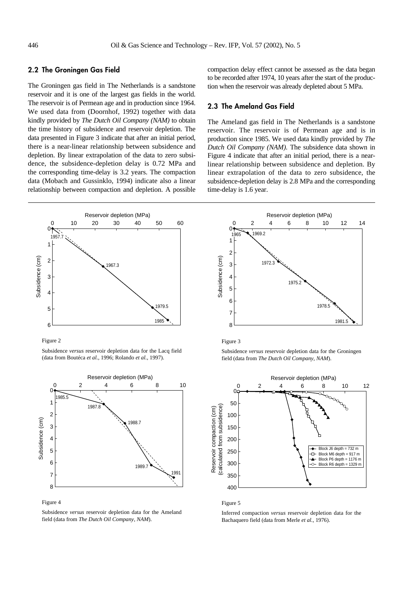## **2.2 The Groningen Gas Field**

The Groningen gas field in The Netherlands is a sandstone reservoir and it is one of the largest gas fields in the world. The reservoir is of Permean age and in production since 1964. We used data from (Doornhof, 1992) together with data kindly provided by *The Dutch Oil Company (NAM)* to obtain the time history of subsidence and reservoir depletion. The data presented in Figure 3 indicate that after an initial period, there is a near-linear relationship between subsidence and depletion. By linear extrapolation of the data to zero subsidence, the subsidence-depletion delay is 0.72 MPa and the corresponding time-delay is 3.2 years. The compaction data (Mobach and Gussinklo, 1994) indicate also a linear relationship between compaction and depletion. A possible



Figure 2

Subsidence *versus* reservoir depletion data for the Lacq field (data from Boutéca *et al.,* 1996; Rolando *et al.,* 1997).



Figure 4

Subsidence *versus* reservoir depletion data for the Ameland field (data from *The Dutch Oil Company, NAM*).

compaction delay effect cannot be assessed as the data began to be recorded after 1974, 10 years after the start of the production when the reservoir was already depleted about 5 MPa.

## **2.3 The Ameland Gas Field**

The Ameland gas field in The Netherlands is a sandstone reservoir. The reservoir is of Permean age and is in production since 1985. We used data kindly provided by *The Dutch Oil Company (NAM)*. The subsidence data shown in Figure 4 indicate that after an initial period, there is a nearlinear relationship between subsidence and depletion. By linear extrapolation of the data to zero subsidence, the subsidence-depletion delay is 2.8 MPa and the corresponding time-delay is 1.6 year.





Subsidence *versus* reservoir depletion data for the Groningen field (data from *The Dutch Oil Company, NAM*).



#### Figure 5

Inferred compaction *versus* reservoir depletion data for the Bachaquero field (data from Merle *et al.,* 1976).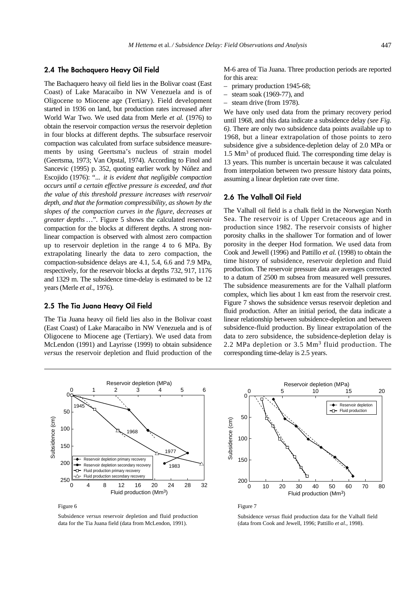#### **2.4 The Bachaquero Heavy Oil Field**

The Bachaquero heavy oil field lies in the Bolivar coast (East Coast) of Lake Maracaibo in NW Venezuela and is of Oligocene to Miocene age (Tertiary). Field development started in 1936 on land, but production rates increased after World War Two. We used data from Merle *et al.* (1976) to obtain the reservoir compaction *versus* the reservoir depletion in four blocks at different depths. The subsurface reservoir compaction was calculated from surface subsidence measurements by using Geertsma's nucleus of strain model (Geertsma, 1973; Van Opstal, 1974). According to Finol and Sancevic (1995) p. 352, quoting earlier work by Núñez and Escojido (1976): "... *it is evident that negligible compaction occurs until a certain effective pressure is exceeded, and that the value of this threshold pressure increases with reservoir depth, and that the formation compressibility, as shown by the slopes of the compaction curves in the figure, decreases at greater depths* …". Figure 5 shows the calculated reservoir compaction for the blocks at different depths. A strong nonlinear compaction is observed with almost zero compaction up to reservoir depletion in the range 4 to 6 MPa. By extrapolating linearly the data to zero compaction, the compaction-subsidence delays are 4.1, 5.4, 6.6 and 7.9 MPa, respectively, for the reservoir blocks at depths 732, 917, 1176 and 1329 m. The subsidence time-delay is estimated to be 12 years (Merle *et al.,* 1976).

#### **2.5 The Tia Juana Heavy Oil Field**

The Tia Juana heavy oil field lies also in the Bolivar coast (East Coast) of Lake Maracaibo in NW Venezuela and is of Oligocene to Miocene age (Tertiary). We used data from McLendon (1991) and Layrisse (1999) to obtain subsidence *versus* the reservoir depletion and fluid production of the M-6 area of Tia Juana. Three production periods are reported for this area:

- primary production 1945-68;
- steam soak (1969-77), and
- steam drive (from 1978).

We have only used data from the primary recovery period until 1968, and this data indicate a subsidence delay *(see Fig. 6).* There are only two subsidence data points available up to 1968, but a linear extrapolation of those points to zero subsidence give a subsidence-depletion delay of 2.0 MPa or  $1.5 \text{ Mm}^3$  of produced fluid. The corresponding time delay is 13 years. This number is uncertain because it was calculated from interpolation between two pressure history data points, assuming a linear depletion rate over time.

# **2.6 The Valhall Oil Field**

The Valhall oil field is a chalk field in the Norwegian North Sea. The reservoir is of Upper Cretaceous age and in production since 1982. The reservoir consists of higher porosity chalks in the shallower Tor formation and of lower porosity in the deeper Hod formation. We used data from Cook and Jewell (1996) and Pattillo *et al.* (1998) to obtain the time history of subsidence, reservoir depletion and fluid production. The reservoir pressure data are averages corrected to a datum of 2500 m subsea from measured well pressures. The subsidence measurements are for the Valhall platform complex, which lies about 1 km east from the reservoir crest. Figure 7 shows the subsidence versus reservoir depletion and fluid production. After an initial period, the data indicate a linear relationship between subsidence-depletion and between subsidence-fluid production. By linear extrapolation of the data to zero subsidence, the subsidence-depletion delay is 2.2 MPa depletion or 3.5 Mm<sup>3</sup> fluid production. The corresponding time-delay is 2.5 years.



Figure 6

Subsidence *versus* reservoir depletion and fluid production data for the Tia Juana field (data from McLendon, 1991).



#### Figure 7

Subsidence *versus* fluid production data for the Valhall field (data from Cook and Jewell, 1996; Pattillo *et al.,* 1998).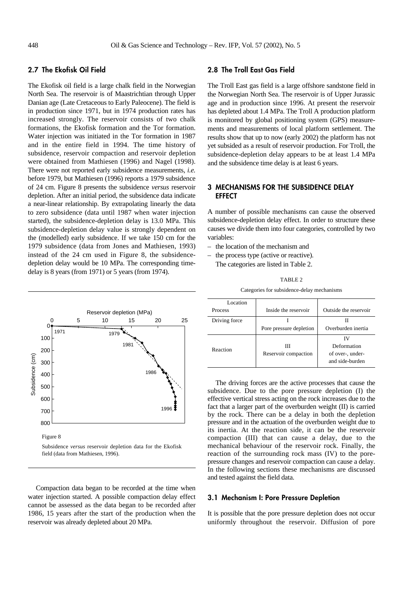# **2.7 The Ekofisk Oil Field**

The Ekofisk oil field is a large chalk field in the Norwegian North Sea. The reservoir is of Maastrichtian through Upper Danian age (Late Cretaceous to Early Paleocene). The field is in production since 1971, but in 1974 production rates has increased strongly. The reservoir consists of two chalk formations, the Ekofisk formation and the Tor formation. Water injection was initiated in the Tor formation in 1987 and in the entire field in 1994. The time history of subsidence, reservoir compaction and reservoir depletion were obtained from Mathiesen (1996) and Nagel (1998). There were not reported early subsidence measurements, *i.e.* before 1979, but Mathiesen (1996) reports a 1979 subsidence of 24 cm. Figure 8 presents the subsidence *versus* reservoir depletion. After an initial period, the subsidence data indicate a near-linear relationship. By extrapolating linearly the data to zero subsidence (data until 1987 when water injection started), the subsidence-depletion delay is 13.0 MPa. This subsidence-depletion delay value is strongly dependent on the (modelled) early subsidence. If we take 150 cm for the 1979 subsidence (data from Jones and Mathiesen, 1993) instead of the 24 cm used in Figure 8, the subsidencedepletion delay would be 10 MPa. The corresponding timedelay is 8 years (from 1971) or 5 years (from 1974).



Figure 8

Compaction data began to be recorded at the time when water injection started. A possible compaction delay effect cannot be assessed as the data began to be recorded after 1986, 15 years after the start of the production when the reservoir was already depleted about 20 MPa.

# **2.8 The Troll East Gas Field**

The Troll East gas field is a large offshore sandstone field in the Norwegian North Sea. The reservoir is of Upper Jurassic age and in production since 1996. At present the reservoir has depleted about 1.4 MPa. The Troll A production platform is monitored by global positioning system (GPS) measurements and measurements of local platform settlement. The results show that up to now (early 2002) the platform has not yet subsided as a result of reservoir production. For Troll, the subsidence-depletion delay appears to be at least 1.4 MPa and the subsidence time delay is at least 6 years.

## **3 MECHANISMS FOR THE SUBSIDENCE DELAY EFFECT**

A number of possible mechanisms can cause the observed subsidence-depletion delay effect. In order to structure these causes we divide them into four categories, controlled by two variables:

- the location of the mechanism and
- the process type (active or reactive). The categories are listed in Table 2.

| alogorios are noted in Table 2 |  |  |  |
|--------------------------------|--|--|--|
|                                |  |  |  |
|                                |  |  |  |

TABLE 2

| Location       |                         |                       |  |
|----------------|-------------------------|-----------------------|--|
| <b>Process</b> | Inside the reservoir    | Outside the reservoir |  |
| Driving force  |                         |                       |  |
|                | Pore pressure depletion | Overburden inertia    |  |
|                |                         | IV                    |  |
| Reaction       | Ш                       | Deformation           |  |
|                | Reservoir compaction    | of over-, under-      |  |
|                |                         | and side-burden       |  |

The driving forces are the active processes that cause the subsidence. Due to the pore pressure depletion (I) the effective vertical stress acting on the rock increases due to the fact that a larger part of the overburden weight (II) is carried by the rock. There can be a delay in both the depletion pressure and in the actuation of the overburden weight due to its inertia. At the reaction side, it can be the reservoir compaction (III) that can cause a delay, due to the mechanical behaviour of the reservoir rock. Finally, the reaction of the surrounding rock mass (IV) to the porepressure changes and reservoir compaction can cause a delay. In the following sections these mechanisms are discussed and tested against the field data.

#### **3.1 Mechanism I: Pore Pressure Depletion**

It is possible that the pore pressure depletion does not occur uniformly throughout the reservoir. Diffusion of pore

Subsidence *versus* reservoir depletion data for the Ekofisk field (data from Mathiesen, 1996).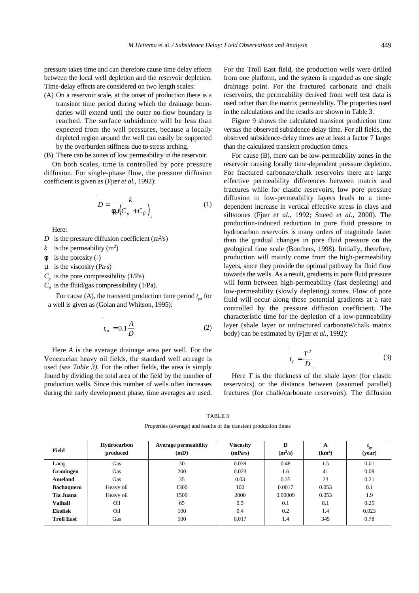pressure takes time and can therefore cause time delay effects between the local well depletion and the reservoir depletion. Time-delay effects are considered on two length scales:

- (A) On a reservoir scale, at the onset of production there is a transient time period during which the drainage boundaries will extend until the outer no-flow boundary is reached. The surface subsidence will be less than expected from the well pressures, because a locally depleted region around the well can easily be supported by the overburden stiffness due to stress arching.
- (B) There can be zones of low permeability in the reservoir.

On both scales, time is controlled by pore pressure diffusion. For single-phase flow, the pressure diffusion coefficient is given as (Fjær *et al.,* 1992):

$$
D = \frac{k}{\phi \mu (C_p + C_{fl})}
$$
 (1)

Here:

- *D* is the pressure diffusion coefficient  $(m^2/s)$
- *k* is the permeability  $(m^2)$
- $\phi$  is the porosity (-)
- $\mu$  is the viscosity (Pa·s)
- $C_p$  is the pore compressibility (1/Pa)
- $C<sub>n</sub>$  is the fluid/gas compressibility (1/Pa).

For cause (A), the transient production time period  $t_{pd}$  for a well is given as (Golan and Whitson, 1995):

$$
t_{tp} = 0.1 \frac{A}{D} \tag{2}
$$

Here *A* is the average drainage area per well. For the Venezuelan heavy oil fields, the standard well acreage is used *(see Table 3).* For the other fields, the area is simply found by dividing the total area of the field by the number of production wells. Since this number of wells often increases during the early development phase, time averages are used. For the Troll East field, the production wells were drilled from one platform, and the system is regarded as one single drainage point. For the fractured carbonate and chalk reservoirs, the permeability derived from well test data is used rather than the matrix permeability. The properties used in the calculations and the results are shown in Table 3.

Figure 9 shows the calculated transient production time *versus* the observed subsidence delay time. For all fields, the observed subsidence-delay times are at least a factor 7 larger than the calculated transient production times.

For cause (B), there can be low-permeability zones in the reservoir causing locally time-dependent pressure depletion. For fractured carbonate/chalk reservoirs there are large effective permeability differences between matrix and fractures while for clastic reservoirs, low pore pressure diffusion in low-permeability layers leads to a timedependent increase in vertical effective stress in clays and siltstones (Fjær *et al.,* 1992; Sneed *et al.,* 2000). The production-induced reduction in pore fluid pressure in hydrocarbon reservoirs is many orders of magnitude faster than the gradual changes in pore fluid pressure on the geological time scale (Borchers, 1998). Initially, therefore, production will mainly come from the high-permeability layers, since they provide the optimal pathway for fluid flow towards the wells. As a result, gradients in pore fluid pressure will form between high-permeability (fast depleting) and low-permeability (slowly depleting) zones. Flow of pore fluid will occur along these potential gradients at a rate controlled by the pressure diffusion coefficient. The characteristic time for the depletion of a low-permeability layer (shale layer or unfractured carbonate/chalk matrix body) can be estimated by (Fjær *et al.,* 1992):

$$
t_c = \frac{T^2}{D} \tag{3}
$$

Here *T* is the thickness of the shale layer (for clastic reservoirs) or the distance between (assumed parallel) fractures (for chalk/carbonate reservoirs). The diffusion

TABLE 3 Properties (average) and results of the transient production times

| Field             | Hydrocarbon<br>produced | <b>Average permeability</b><br>(mD) | <b>Viscosity</b><br>$(mPa-s)$ | D<br>$(m^2/s)$ | A<br>(km <sup>2</sup> ) | $t_{tp}$<br>(vear) |
|-------------------|-------------------------|-------------------------------------|-------------------------------|----------------|-------------------------|--------------------|
| Lacq              | Gas                     | 30                                  | 0.039                         | 0.48           | 1.5                     | 0.01               |
| Groningen         | Gas                     | 200                                 | 0.023                         | 1.6            | 41                      | 0.08               |
| Ameland           | Gas                     | 35                                  | 0.03                          | 0.35           | 23                      | 0.21               |
| <b>Bachaquero</b> | Heavy oil               | 1300                                | 100                           | 0.0017         | 0.053                   | 0.1                |
| Tia Juana         | Heavy oil               | 1500                                | 2000                          | 0.00009        | 0.053                   | 1.9                |
| <b>Valhall</b>    | Oil                     | 65                                  | 0.5                           | 0.1            | 8.1                     | 0.25               |
| <b>Ekofisk</b>    | Oil                     | 100                                 | 0.4                           | 0.2            | 1.4                     | 0.023              |
| <b>Troll East</b> | Gas                     | 500                                 | 0.017                         | 1.4            | 345                     | 0.78               |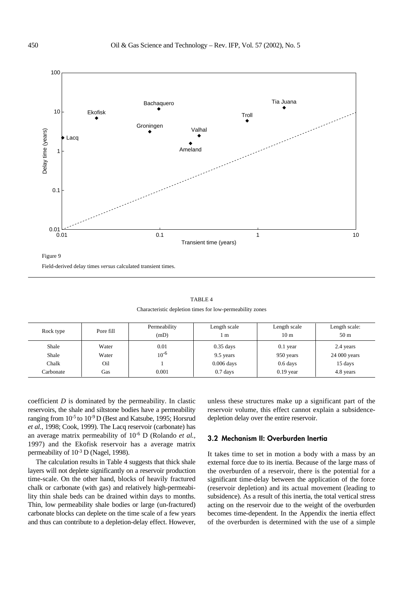

Field-derived delay times *versus* calculated transient times.

TABLE 4 Characteristic depletion times for low-permeability zones

| Rock type      | Pore fill      | Permeability<br>(mD) | Length scale<br>1 m      | Length scale<br>10 <sub>m</sub> | Length scale:<br>50 <sub>m</sub> |
|----------------|----------------|----------------------|--------------------------|---------------------------------|----------------------------------|
| Shale<br>Shale | Water<br>Water | 0.01<br>$10^{-6}$    | $0.35$ days<br>9.5 years | $0.1$ year<br>950 years         | 2.4 years<br>24 000 years        |
| Chalk          | Oil            |                      | $0.006$ days             | $0.6$ days                      | 15 days                          |
| Carbonate      | Gas            | 0.001                | $0.7$ days               | $0.19$ year                     | 4.8 years                        |

coefficient *D* is dominated by the permeability. In clastic reservoirs, the shale and siltstone bodies have a permeability ranging from  $10^{-5}$  to  $10^{-9}$  D (Best and Katsube, 1995; Horsrud *et al.,* 1998; Cook, 1999). The Lacq reservoir (carbonate) has an average matrix permeability of 10-6 D (Rolando *et al.,* 1997) and the Ekofisk reservoir has a average matrix permeability of  $10^{-3}$  D (Nagel, 1998).

The calculation results in Table 4 suggests that thick shale layers will not deplete significantly on a reservoir production time-scale. On the other hand, blocks of heavily fractured chalk or carbonate (with gas) and relatively high-permeability thin shale beds can be drained within days to months. Thin, low permeability shale bodies or large (un-fractured) carbonate blocks can deplete on the time scale of a few years and thus can contribute to a depletion-delay effect. However,

unless these structures make up a significant part of the reservoir volume, this effect cannot explain a subsidencedepletion delay over the entire reservoir.

#### **3.2 Mechanism II: Overburden Inertia**

It takes time to set in motion a body with a mass by an external force due to its inertia. Because of the large mass of the overburden of a reservoir, there is the potential for a significant time-delay between the application of the force (reservoir depletion) and its actual movement (leading to subsidence). As a result of this inertia, the total vertical stress acting on the reservoir due to the weight of the overburden becomes time-dependent. In the Appendix the inertia effect of the overburden is determined with the use of a simple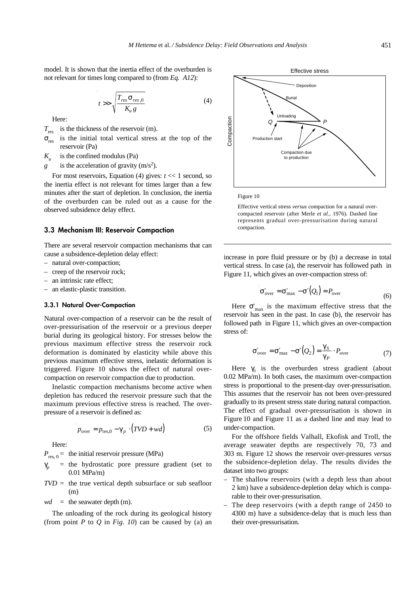model. It is shown that the inertia effect of the overburden is not relevant for times long compared to (from *Eq. A12*):

$$
t \gg \sqrt{\frac{T_{res} \sigma_{res,0}}{K_u g}} \tag{4}
$$

Here:

 $T_{\text{res}}$  is the thickness of the reservoir (m).

 $\sigma_{res}$  is the initial total vertical stress at the top of the reservoir (Pa)

 $K_u$  is the confined modulus (Pa)

*g* is the acceleration of gravity  $(m/s^2)$ .

For most reservoirs, Equation (4) gives: *t* << 1 second, so the inertia effect is not relevant for times larger than a few minutes after the start of depletion. In conclusion, the inertia of the overburden can be ruled out as a cause for the observed subsidence delay effect.

#### **3.3 Mechanism III: Reservoir Compaction**

There are several reservoir compaction mechanisms that can cause a subsidence-depletion delay effect:

- natural over-compaction;
- creep of the reservoir rock;
- an intrinsic rate effect;
- an elastic-plastic transition.

#### **3.3.1 Natural Over-Compaction**

Natural over-compaction of a reservoir can be the result of over-pressurisation of the reservoir or a previous deeper burial during its geological history. For stresses below the previous maximum effective stress the reservoir rock deformation is dominated by elasticity while above this previous maximum effective stress, inelastic deformation is triggered. Figure 10 shows the effect of natural overcompaction on reservoir compaction due to production.

Inelastic compaction mechanisms become active when depletion has reduced the reservoir pressure such that the maximum previous effective stress is reached. The overpressure of a reservoir is defined as:

$$
p_{\text{over}} = p_{\text{res},0} - \gamma_p \cdot (TVD + wd)
$$
 (5)

Here:

 $P_{res, 0}$  = the initial reservoir pressure (MPa)

- γ*<sup>p</sup>* = the hydrostatic pore pressure gradient (set to 0.01 MPa/m)
- *TVD* = the true vertical depth subsurface or sub seafloor (m)

$$
wd = the seawater depth (m).
$$

The unloading of the rock during its geological history (from point *P* to *Q* in *Fig. 10*) can be caused by (a) an



Effective stress

Effective vertical stress *versus* compaction for a natural overcompacted reservoir (after Merle *et al.*, 1976). Dashed line represents gradual over-pressurisation during natural compaction.

increase in pore fluid pressure or by (b) a decrease in total vertical stress. In case (a), the reservoir has followed path in Figure 11, which gives an over-compaction stress of:

$$
\sigma'_{\text{over}} = \sigma'_{\text{max}} - \sigma'(Q_1) = P_{\text{over}} \tag{6}
$$

Here  $\sigma'_{\text{max}}$  is the maximum effective stress that the reservoir has seen in the past. In case (b), the reservoir has followed path in Figure 11, which gives an over-compaction stress of:

$$
\sigma'_{\text{over}} = \sigma'_{\text{max}} - \sigma'(Q_2) = \frac{\gamma_S}{\gamma_P} \cdot P_{\text{over}} \tag{7}
$$

Here  $\gamma_s$  is the overburden stress gradient (about 0.02 MPa/m). In both cases, the maximum over-compaction stress is proportional to the present-day over-pressurisation. This assumes that the reservoir has not been over-pressured gradually to its present stress state during natural compaction. The effect of gradual over-pressurisation is shown in Figure 10 and Figure 11 as a dashed line and may lead to under-compaction.

For the offshore fields Valhall, Ekofisk and Troll, the average seawater depths are respectively 70, 73 and 303 m. Figure 12 shows the reservoir over-pressures *versus* the subsidence-depletion delay. The results divides the dataset into two groups:

- The shallow reservoirs (with a depth less than about 2 km) have a subsidence-depletion delay which is comparable to their over-pressurisation.
- The deep reservoirs (with a depth range of 2450 to 4300 m) have a subsidence-delay that is much less than their over-pressurisation.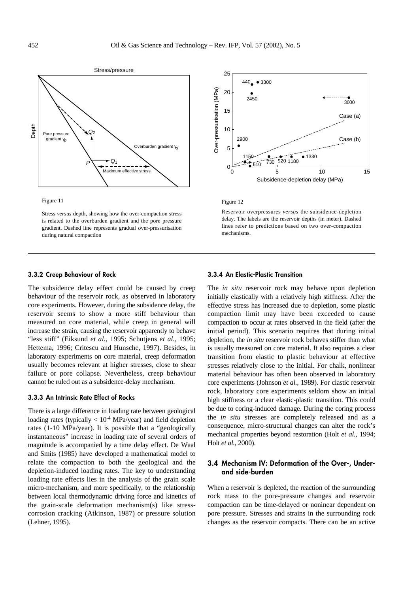

Figure 11

Stress *versus* depth, showing how the over-compaction stress is related to the overburden gradient and the pore pressure gradient. Dashed line represents gradual over-pressurisation during natural compaction



#### Figure 12

Reservoir overpressures *versus* the subsidence-depletion delay. The labels are the reservoir depths (in meter). Dashed lines refer to predictions based on two over-compaction mechanisms.

#### **3.3.2 Creep Behaviour of Rock**

The subsidence delay effect could be caused by creep behaviour of the reservoir rock, as observed in laboratory core experiments. However, during the subsidence delay, the reservoir seems to show a more stiff behaviour than measured on core material, while creep in general will increase the strain, causing the reservoir apparently to behave "less stiff" (Eiksund *et al.,* 1995; Schutjens *et al.,* 1995; Hettema, 1996; Critescu and Hunsche, 1997). Besides, in laboratory experiments on core material, creep deformation usually becomes relevant at higher stresses, close to shear failure or pore collapse. Nevertheless, creep behaviour cannot be ruled out as a subsidence-delay mechanism.

## **3.3.3 An Intrinsic Rate Effect of Rocks**

There is a large difference in loading rate between geological loading rates (typically  $< 10^{-4}$  MPa/year) and field depletion rates (1-10 MPa/year). It is possible that a "geologically instantaneous" increase in loading rate of several orders of magnitude is accompanied by a time delay effect. De Waal and Smits (1985) have developed a mathematical model to relate the compaction to both the geological and the depletion-induced loading rates. The key to understanding loading rate effects lies in the analysis of the grain scale micro-mechanism, and more specifically, to the relationship between local thermodynamic driving force and kinetics of the grain-scale deformation mechanism(s) like stresscorrosion cracking (Atkinson, 1987) or pressure solution (Lehner, 1995).

### **3.3.4 An Elastic-Plastic Transition**

The *in situ* reservoir rock may behave upon depletion initially elastically with a relatively high stiffness. After the effective stress has increased due to depletion, some plastic compaction limit may have been exceeded to cause compaction to occur at rates observed in the field (after the initial period). This scenario requires that during initial depletion, the *in situ* reservoir rock behaves stiffer than what is usually measured on core material. It also requires a clear transition from elastic to plastic behaviour at effective stresses relatively close to the initial. For chalk, nonlinear material behaviour has often been observed in laboratory core experiments (Johnson *et al.,* 1989). For clastic reservoir rock, laboratory core experiments seldom show an initial high stiffness or a clear elastic-plastic transition. This could be due to coring-induced damage. During the coring process the *in situ* stresses are completely released and as a consequence, micro-structural changes can alter the rock's mechanical properties beyond restoration (Holt *et al.,* 1994; Holt *et al.,* 2000).

# **3.4 Mechanism IV: Deformation of the Over-, Underand side-burden**

When a reservoir is depleted, the reaction of the surrounding rock mass to the pore-pressure changes and reservoir compaction can be time-delayed or noninear dependent on pore pressure. Stresses and strains in the surrounding rock changes as the reservoir compacts. There can be an active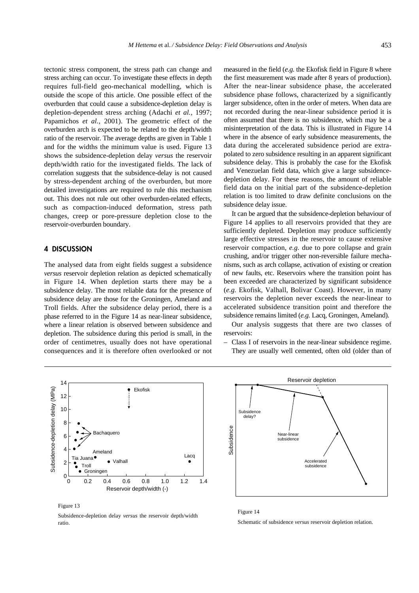tectonic stress component, the stress path can change and stress arching can occur. To investigate these effects in depth requires full-field geo-mechanical modelling, which is outside the scope of this article. One possible effect of the overburden that could cause a subsidence-depletion delay is depletion-dependent stress arching (Adachi *et al.,* 1997; Papamichos *et al.,* 2001). The geometric effect of the overburden arch is expected to be related to the depth/width ratio of the reservoir. The average depths are given in Table 1 and for the widths the minimum value is used. Figure 13 shows the subsidence-depletion delay *versus* the reservoir depth/width ratio for the investigated fields. The lack of correlation suggests that the subsidence-delay is not caused by stress-dependent arching of the overburden, but more detailed investigations are required to rule this mechanism out. This does not rule out other overburden-related effects, such as compaction-induced deformation, stress path changes, creep or pore-pressure depletion close to the reservoir-overburden boundary.

## **4 DISCUSSION**

The analysed data from eight fields suggest a subsidence *versus* reservoir depletion relation as depicted schematically in Figure 14. When depletion starts there may be a subsidence delay. The most reliable data for the presence of subsidence delay are those for the Groningen, Ameland and Troll fields. After the subsidence delay period, there is a phase referred to in the Figure 14 as near-linear subsidence, where a linear relation is observed between subsidence and depletion. The subsidence during this period is small, in the order of centimetres, usually does not have operational consequences and it is therefore often overlooked or not measured in the field (*e.g.* the Ekofisk field in Figure 8 where the first measurement was made after 8 years of production). After the near-linear subsidence phase, the accelerated subsidence phase follows, characterized by a significantly larger subsidence, often in the order of meters. When data are not recorded during the near-linear subsidence period it is often assumed that there is no subsidence, which may be a misinterpretation of the data. This is illustrated in Figure 14 where in the absence of early subsidence measurements, the data during the accelerated subsidence period are extrapolated to zero subsidence resulting in an apparent significant subsidence delay. This is probably the case for the Ekofisk and Venezuelan field data, which give a large subsidencedepletion delay. For these reasons, the amount of reliable field data on the initial part of the subsidence-depletion relation is too limited to draw definite conclusions on the subsidence delay issue.

It can be argued that the subsidence-depletion behaviour of Figure 14 applies to all reservoirs provided that they are sufficiently depleted. Depletion may produce sufficiently large effective stresses in the reservoir to cause extensive reservoir compaction, *e.g.* due to pore collapse and grain crushing, and/or trigger other non-reversible failure mechanisms, such as arch collapse, activation of existing or creation of new faults, etc. Reservoirs where the transition point has been exceeded are characterized by significant subsidence (*e.g.* Ekofisk, Valhall, Bolivar Coast). However, in many reservoirs the depletion never exceeds the near-linear to accelerated subsidence transition point and therefore the subsidence remains limited (*e.g.* Lacq, Groningen, Ameland).

Our analysis suggests that there are two classes of reservoirs:

– Class I of reservoirs in the near-linear subsidence regime. They are usually well cemented, often old (older than of



Figure 13

Subsidence-depletion delay *versus* the reservoir depth/width ratio.





Schematic of subsidence *versus* reservoir depletion relation.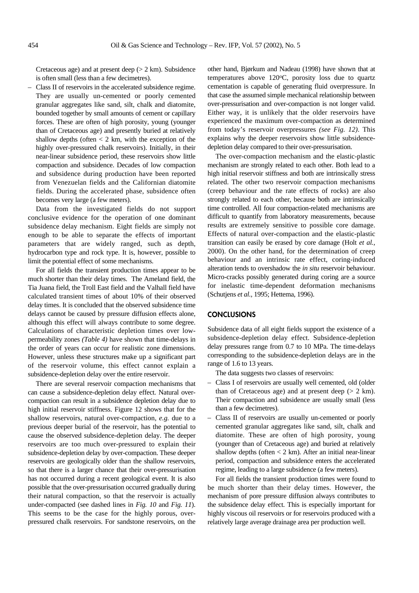Cretaceous age) and at present deep (> 2 km). Subsidence is often small (less than a few decimetres).

– Class II of reservoirs in the accelerated subsidence regime. They are usually un-cemented or poorly cemented granular aggregates like sand, silt, chalk and diatomite, bounded together by small amounts of cement or capillary forces. These are often of high porosity, young (younger than of Cretaceous age) and presently buried at relatively shallow depths (often  $<$  2 km, with the exception of the highly over-pressured chalk reservoirs). Initially, in their near-linear subsidence period, these reservoirs show little compaction and subsidence. Decades of low compaction and subsidence during production have been reported from Venezuelan fields and the Californian diatomite fields. During the accelerated phase, subsidence often becomes very large (a few meters).

Data from the investigated fields do not support conclusive evidence for the operation of one dominant subsidence delay mechanism. Eight fields are simply not enough to be able to separate the effects of important parameters that are widely ranged, such as depth, hydrocarbon type and rock type. It is, however, possible to limit the potential effect of some mechanisms.

For all fields the transient production times appear to be much shorter than their delay times. The Ameland field, the Tia Juana field, the Troll East field and the Valhall field have calculated transient times of about 10% of their observed delay times. It is concluded that the observed subsidence time delays cannot be caused by pressure diffusion effects alone, although this effect will always contribute to some degree. Calculations of characteristic depletion times over lowpermeability zones *(Table 4)* have shown that time-delays in the order of years can occur for realistic zone dimensions. However, unless these structures make up a significant part of the reservoir volume, this effect cannot explain a subsidence-depletion delay over the entire reservoir.

There are several reservoir compaction mechanisms that can cause a subsidence-depletion delay effect. Natural overcompaction can result in a subsidence depletion delay due to high initial reservoir stiffness. Figure 12 shows that for the shallow reservoirs, natural over-compaction, *e.g.* due to a previous deeper burial of the reservoir, has the potential to cause the observed subsidence-depletion delay. The deeper reservoirs are too much over-pressured to explain their subsidence-depletion delay by over-compaction. These deeper reservoirs are geologically older than the shallow reservoirs, so that there is a larger chance that their over-pressurisation has not occurred during a recent geological event. It is also possible that the over-pressurisation occurred gradually during their natural compaction, so that the reservoir is actually under-compacted (see dashed lines in *Fig. 10* and *Fig. 11*). This seems to be the case for the highly porous, overpressured chalk reservoirs. For sandstone reservoirs, on the

other hand, Bjørkum and Nadeau (1998) have shown that at temperatures above  $120^{\circ}$ C, porosity loss due to quartz cementation is capable of generating fluid overpressure. In that case the assumed simple mechanical relationship between over-pressurisation and over-compaction is not longer valid. Either way, it is unlikely that the older reservoirs have experienced the maximum over-compaction as determined from today's reservoir overpressures *(see Fig. 12)*. This explains why the deeper reservoirs show little subsidencedepletion delay compared to their over-pressurisation.

The over-compaction mechanism and the elastic-plastic mechanism are strongly related to each other. Both lead to a high initial reservoir stiffness and both are intrinsically stress related. The other two reservoir compaction mechanisms (creep behaviour and the rate effects of rocks) are also strongly related to each other, because both are intrinsically time controlled. All four compaction-related mechanisms are difficult to quantify from laboratory measurements, because results are extremely sensitive to possible core damage. Effects of natural over-compaction and the elastic-plastic transition can easily be erased by core damage (Holt *et al.,* 2000). On the other hand, for the determination of creep behaviour and an intrinsic rate effect, coring-induced alteration tends to overshadow the *in situ* reservoir behaviour. Micro-cracks possibly generated during coring are a source for inelastic time-dependent deformation mechanisms (Schutjens *et al.,* 1995; Hettema, 1996).

#### **CONCLUSIONS**

Subsidence data of all eight fields support the existence of a subsidence-depletion delay effect. Subsidence-depletion delay pressures range from 0.7 to 10 MPa. The time-delays corresponding to the subsidence-depletion delays are in the range of 1.6 to 13 years.

The data suggests two classes of reservoirs:

- Class I of reservoirs are usually well cemented, old (older than of Cretaceous age) and at present deep  $(> 2 \text{ km})$ . Their compaction and subsidence are usually small (less than a few decimetres).
- Class II of reservoirs are usually un-cemented or poorly cemented granular aggregates like sand, silt, chalk and diatomite. These are often of high porosity, young (younger than of Cretaceous age) and buried at relatively shallow depths (often  $<$  2 km). After an initial near-linear period, compaction and subsidence enters the accelerated regime, leading to a large subsidence (a few meters).

For all fields the transient production times were found to be much shorter than their delay times. However, the mechanism of pore pressure diffusion always contributes to the subsidence delay effect. This is especially important for highly viscous oil reservoirs or for reservoirs produced with a relatively large average drainage area per production well.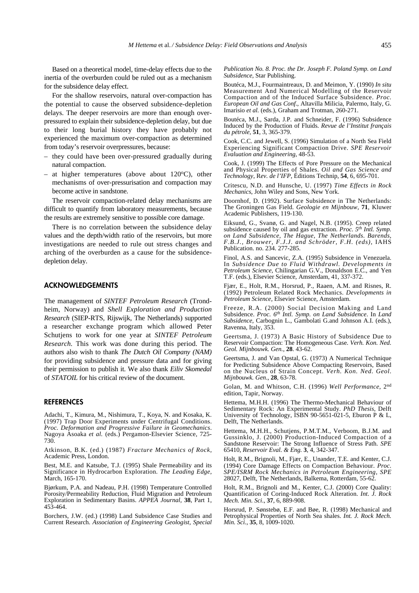Based on a theoretical model, time-delay effects due to the inertia of the overburden could be ruled out as a mechanism for the subsidence delay effect.

For the shallow reservoirs, natural over-compaction has the potential to cause the observed subsidence-depletion delays. The deeper reservoirs are more than enough overpressured to explain their subsidence-depletion delay, but due to their long burial history they have probably not experienced the maximum over-compaction as determined from today's reservoir overpressures, because:

- they could have been over-pressured gradually during natural compaction.
- at higher temperatures (above about  $120^{\circ}$ C), other mechanisms of over-pressurisation and compaction may become active in sandstone.

The reservoir compaction-related delay mechanisms are difficult to quantify from laboratory measurements, because the results are extremely sensitive to possible core damage.

There is no correlation between the subsidence delay values and the depth/width ratio of the reservoirs, but more investigations are needed to rule out stress changes and arching of the overburden as a cause for the subsidencedepletion delay.

#### **ACKNOWLEDGEMENTS**

The management of *SINTEF Petroleum Research* (Trondheim, Norway) and *Shell Exploration and Production Research* (SIEP-RTS, Rijswijk, The Netherlands) supported a researcher exchange program which allowed Peter Schutjens to work for one year at *SINTEF Petroleum Research.* This work was done during this period. The authors also wish to thank *The Dutch Oil Company (NAM)* for providing subsidence and pressure data and for giving their permission to publish it. We also thank *Eiliv Skomedal* of *STATOIL* for his critical review of the document.

#### **REFERENCES**

Adachi, T., Kimura, M., Nishimura, T., Koya, N. and Kosaka, K. (1997) Trap Door Experiments under Centrifugal Conditions. *Proc. Deformation and Progressive Failure in Geomechanics*. Nagoya Asoaka *et al.* (eds.) Pergamon-Elsevier Science, 725- 730.

Atkinson, B.K. (ed.) (1987) *Fracture Mechanics of Rock*, Academic Press, London.

Best, M.E. and Katsube, T.J. (1995) Shale Permeability and its Significance in Hydrocarbon Exploration. *The Leading Edge*, March, 165-170.

Bjørkum, P.A. and Nadeau, P.H. (1998) Temperature Controlled Porosity/Permeability Reduction, Fluid Migration and Petroleum Exploration in Sedimentary Basins. *APPEA Journal,* **38**, Part 1, 453-464.

Borchers, J.W. (ed.) (1998) Land Subsidence Case Studies and Current Research. *Association of Engineering Geologist, Special* *Publication No. 8. Proc. the Dr. Joseph F. Poland Symp. on Land Subsidence,* Star Publishing.

Boutéca, M.J., Fourmaintreaux, D. and Meimon, Y. (1990) *In situ* Measurement And Numerical Modelling of the Reservoir Compaction and of the Induced Surface Subsidence. *Proc. European Oil and Gas Conf*., Altavilla Milicia, Palermo, Italy, G. Imarisio *et al.* (eds.), Graham and Trotman, 260-271.

Boutéca, M.J., Sarda, J.P. and Schneider, F. (1996) Subsidence Induced by the Production of Fluids. *Revue de l'Institut français du pétrole,* **51**, 3, 365-379.

Cook, C.C. and Jewell, S. (1996) Simulation of a North Sea Field Experiencing Significant Compaction Drive. *SPE Reservoir Evaluation and Engineering*, 48-53.

Cook, J. (1999) The Effects of Pore Pressure on the Mechanical and Physical Properties of Shales. *Oil and Gas Science and Technology*, R*ev. de l'IFP*, Éditions Technip, **54**, 6, 695-701.

Critescu, N.D. and Hunsche, U. (1997) *Time Effects in Rock Mechanics*, John Wiley and Sons, New York.

Doornhof, D. (1992). Surface Subsidence in The Netherlands: The Groningen Gas Field. *Geologie en Mijnbouw,* **71**, Kluwer Academic Publishers, 119-130.

Eiksund, G., Svanø, G. and Nagel, N.B. (1995). Creep related subsidence caused by oil and gas extraction. *Proc. 5th Intl. Symp. on Land Subsidence, The Hague, The Netherlands. Barends, F.B.J., Brouwer, F.J.J. and Schröder, F.H. (eds),* IAHS Publication. no. 234. 277-285.

Finol, A.S. and Sancevic, Z.A. (1995) Subsidence in Venezuela. In *Subsidence Due to Fluid Withdrawl. Developments in Petroleum Science,* Chilingarian G.V., Donaldson E.C., and Yen T.F. (eds.), Elsevier Science, Amsterdam, 41, 337-372.

Fjær, E., Holt, R.M., Horsrud, P., Raaen, A.M. and Risnes, R. (1992) Petroleum Related Rock Mechanics. *Developments in Petroleum Science,* Elsevier Science, Amsterdam.

Freeze, R.A. (2000) Social Decision Making and Land Subsidence. *Proc. 6th Intl. Symp. on Land Subsidence*. In *Land Subsidence,* Carbognin L., Gambolati G.and Johnson A.I. (eds.), Ravenna, Italy, 353.

Geertsma, J. (1973) A Basic History of Subsidence Due to Reservoir Compaction: The Homogeneous Case. *Verh. Kon. Ned. Geol. Mijnbouwk. Gen.,* **28**. 43-62.

Geertsma, J. and Van Opstal, G. (1973) A Numerical Technique for Predicting Subsidence Above Compacting Reservoirs, Based on the Nucleus of Strain Concept. *Verh. Kon. Ned. Geol. Mijnbouwk. Gen*., **28**, 63-78.

Golan, M. and Whitson, C.H. (1996) *Well Performance*, 2nd edition, Tapir, Norway.

Hettema, M.H.H. (1996) The Thermo-Mechanical Behaviour of Sedimentary Rock: An Experimental Study. *PhD Thesis*, Delft University of Technology, ISBN 90-5651-021-5, Eburon P & L, Delft, The Netherlands.

Hettema, M.H.H., Schutjens, P.M.T.M., Verboom, B.J.M. and Gussinklo, J. (2000) Production-Induced Compaction of a Sandstone Reservoir: The Strong Influence of Stress Path. *SPE* 65410, *Reservoir Eval. & Eng.* **3**, 4, 342-347.

Holt, R.M., Brignoli, M., Fjær, E., Unander, T.E. and Kenter, C.J. (1994) Core Damage Effects on Compaction Behaviour. *Proc. SPE/ISRM Rock Mechanics in Petroleum Engineering, SPE* 28027, Delft, The Netherlands, Balkema, Rotterdam, 55-62.

Holt, R.M., Brignoli and M., Kenter, C.J. (2000) Core Quality: Quantification of Coring-Induced Rock Alteration. *Int. J. Rock Mech. Min. Sci*., **37**, 6, 889-908.

Horsrud, P. Sønstebø, E.F. and Bøe, R. (1998) Mechanical and Petrophysical Properties of North Sea shales. *Int. J. Rock Mech. Min. Sci*., **35**, 8, 1009-1020.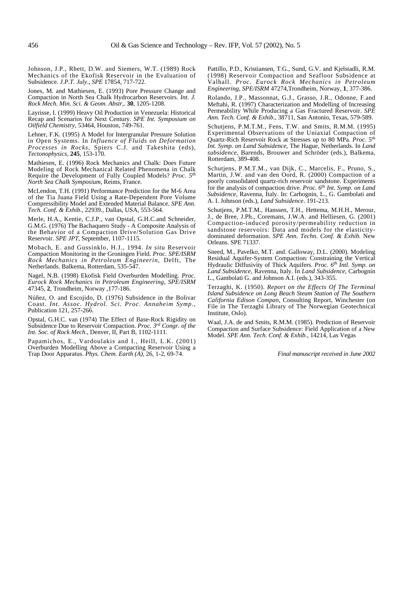Johnson, J.P., Rhett, D.W. and Siemers, W.T. (1989) Rock Mechanics of the Ekofisk Reservoir in the Evaluation of Subsidence. *J.P.T. July*., *SPE* 17854, 717-722.

Jones, M. and Mathiesen, E. (1993) Pore Pressure Change and Compaction in North Sea Chalk Hydrocarbon Reservoirs. *Int. J. Rock Mech. Min. Sci. & Geom. Abstr,.* **30**, 1205-1208.

Layrisse, I. (1999) Heavy Oil Production in Venezuela: Historical Recap and Scenarios for Next Century. *SPE Int. Symposium on Oilfield Chemistry,* 53464, Houston, 749-761.

Lehner, F.K. (1995) A Model for Intergranular Pressure Solution in Open Systems. In *Influence of Fluids on Deformation Processes in Rocks*, Spiers C.J. and Takeshita (eds), *Tectonophysics,* **245**, 153-170.

Mathiesen, E. (1996) Rock Mechanics and Chalk: Does Future Modeling of Rock Mechanical Related Phenomena in Chalk Require the Development of Fully Coupled Models? *Proc. 5th North Sea Chalk Symposium*, Reims, France.

McLendon, T.H. (1991) Performance Prediction for the M-6 Area of the Tia Juana Field Using a Rate-Dependent Pore Volume Compressibility Model and Extended Material Balance. *SPE Ann. Tech. Conf. & Exhib*., 22939*.*, Dallas, USA, 553-564.

Merle, H.A., Kentie, C.J.P., van Opstal, G.H.C.and Schneider, G.M.G. (1976) The Bachaquero Study - A Composite Analysis of the Behavior of a Compaction Drive/Solution Gas Drive Reservoir. *SPE JPT,* September, 1107-1115.

Mobach, E. and Gussinklo, H.J., 1994. *In situ* Reservoir Compaction Monitoring in the Groningen Field. *Proc. SPE/ISRM Rock Mechanics in Petroleum Engineerin,* Delft, The Netherlands. Balkema, Rotterdam, 535-547.

Nagel, N.B. (1998) Ekofisk Field Overburden Modelling. *Proc. Eurock Rock Mechanics in Petroleum Engineering, SPE/ISRM* 47345, **2**, Trondheim, Norway ,177-186.

Núñez, O. and Escojido, D. (1976) Subsidence in the Bolivar Coast. *Int. Assoc. Hydrol. Sci. Proc. Annaheim Symp.,* Publication 121, 257-266.

Opstal, G.H.C. van (1974) The Effect of Base-Rock Rigidity on Subsidence Due to Reservoir Compaction. *Proc. 3rd Congr. of the Int. Soc. of Rock Mech*., Denver, II, Part B, 1102-1111.

Papamichos, E., Vardoulakis and I., Heill, L.K. (2001) Overburden Modelling Above a Compacting Reservoir Using a Trap Door Apparatus. *Phys. Chem. Earth (A),* 26, 1-2, 69-74.

Pattillo, P.D., Kristiansen, T.G., Sund, G.V. and Kjelstadli, R.M. (1998) Reservoir Compaction and Seafloor Subsidence at Valhall. *Proc. Eurock Rock Mechanics in Petroleum Engineering, SPE/ISRM* 47274,Trondheim, Norway, **1**, 377-386.

Rolando, J.P., Massonnat, G.J., Grasso, J.R., Odonne, F.and Meftahi, R. (1997) Characterization and Modelling of Increasing Permeability While Producing a Gas Fractured Reservoir. *SPE Ann. Tech. Conf. & Exhib*., 38711, San Antonio, Texas, 579-589.

Schutjens, P.M.T.M., Fens, T.W. and Smits, R.M.M. (1995) Experimental Observations of the Uniaxial Compaction of Quartz-Rich Reservoir Rock at Stresses up to 80 MPa. *Proc. 5th Int. Symp. on Land Subsidence,* The Hague, Netherlands. In *Land subsidence*, Barends, Brouwer and Schröder (eds.), Balkema, Rotterdam, 389-408.

Schutjens, P.M.T.M., van Dijk, C., Marcelis, F., Pruno, S., Martin, J.W. and van den Oord, R. (2000) Compaction of a poorly consolidated quartz-rich reservoir sandstone. Experiments for the analysis of compaction drive. *Proc. 6th Int. Symp. on Land Subsidence*, Ravenna, Italy. In: Carbognin, L., G. Gambolati and A. I. Johnson (eds.), *Land Subsidence*. 191-213.

Schutjens, P.M.T.M., Hanssen, T.H., Hettema, M.H.H., Merour, J., de Bree, J.Ph., Coremans, J.W.A. and Helliesen, G. (2001) Compaction-induced porosity/permeability reduction in sandstone reservoirs: Data and models for the elasticitydominated deformation. *SPE Ann. Techn. Conf. & Exhib.* New Orleans. SPE 71337.

Sneed, M., Pavelko, M.T. and. Galloway, D.L. (2000). Modeling Residual Aquifer-System Compaction: Constraining the Vertical Hydraulic Diffusivity of Thick Aquifers. *Proc. 6th Intl. Symp. on Land Subsidence*, Ravenna, Italy. In *Land Subsidence,* Carbognin L., Gambolati G. and Johnson A.I. (eds.), 343-355.

Terzaghi, K. (1950). *Report on the Effects Of The Terminal Island Subsidence on Long Beach Steam Station of The Southern California Edison Compan,* Consulting Report, Winchester (on File in The Terzaghi Library of The Norwegian Geotechnical Institute, Oslo).

Waal, J.A. de and Smits, R.M.M. (1985). Prediction of Reservoir Compaction and Surface Subsidence: Field Application of a New Model. *SPE Ann. Tech. Conf. & Exhib.*, 14214, Las Vegas

*Final manuscript received in June 2002*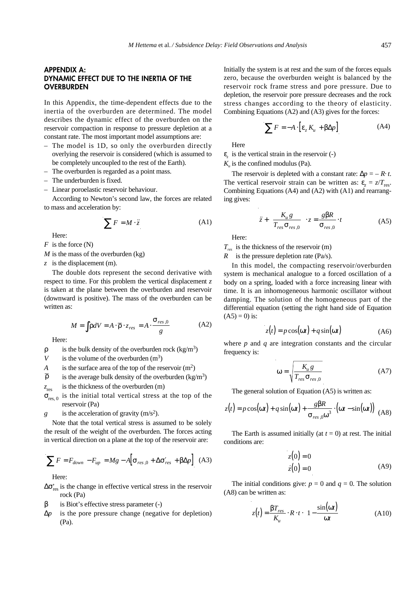# **APPENDIX A: DYNAMIC EFFECT DUE TO THE INERTIA OF THE OVERBURDEN**

In this Appendix, the time-dependent effects due to the inertia of the overburden are determined. The model describes the dynamic effect of the overburden on the reservoir compaction in response to pressure depletion at a constant rate. The most important model assumptions are:

- The model is 1D, so only the overburden directly overlying the reservoir is considered (which is assumed to be completely uncoupled to the rest of the Earth).
- The overburden is regarded as a point mass.
- The underburden is fixed.
- Linear poroelastic reservoir behaviour.

According to Newton's second law, the forces are related to mass and acceleration by:

$$
\sum F = M \cdot \ddot{z} \tag{A1}
$$

Here:

*F* is the force (N)

*M* is the mass of the overburden (kg)

*z* is the displacement (m).

The double dots represent the second derivative with respect to time. For this problem the vertical displacement *z* is taken at the plane between the overburden and reservoir (downward is positive). The mass of the overburden can be written as:

$$
M = \int \rho dV = A \cdot \overline{\rho} \cdot z_{res} = A \cdot \frac{\sigma_{res,0}}{g}
$$
 (A2)

Here:

 $ρ$  is the bulk density of the overburden rock (kg/m<sup>3</sup>)

- *V* is the volume of the overburden  $(m^3)$
- *A* is the surface area of the top of the reservoir  $(m^2)$
- is the average bulk density of the overburden  $(kg/m<sup>3</sup>)$ ρ

*z*<sub>res</sub> is the thickness of the overburden (m)

 $\sigma_{res. 0}$  is the initial total vertical stress at the top of the reservoir (Pa)

*g* is the acceleration of gravity  $(m/s<sup>2</sup>)$ .

Note that the total vertical stress is assumed to be solely the result of the weight of the overburden. The forces acting in vertical direction on a plane at the top of the reservoir are:

$$
\sum F = F_{down} - F_{up} = Mg - A \left[ \sigma_{res,0} + \Delta \sigma'_{res} + \beta \Delta p \right]
$$
 (A3)

Here:

 $\Delta \sigma_{\text{res}}^{\prime}$  is the change in effective vertical stress in the reservoir rock (Pa)

- β is Biot's effective stress parameter (-)
- ∆*p* is the pore pressure change (negative for depletion) (Pa).

Initially the system is at rest and the sum of the forces equals zero, because the overburden weight is balanced by the reservoir rock frame stress and pore pressure. Due to depletion, the reservoir pore pressure decreases and the rock stress changes according to the theory of elasticity. Combining Equations (A2) and (A3) gives for the forces:

$$
\sum F = -A \cdot \left[ \varepsilon_z K_u + \beta \Delta p \right]
$$
 (A4)

Here

ε*<sup>z</sup>* is the vertical strain in the reservoir (-)

 $K_{\mu}$  is the confined modulus (Pa).

The reservoir is depleted with a constant rate:  $\Delta p = -R \cdot t$ . The vertical reservoir strain can be written as:  $\varepsilon_z = z/T_{\text{rec}}$ . Combining Equations (A4) and (A2) with (A1) and rearranging gives:

$$
\ddot{z} + \left(\frac{K_u g}{T_{res}\sigma_{res,0}}\right) \cdot z = \frac{g\beta R}{\sigma_{res,0}} \cdot t
$$
 (A5)

Here:

*T<sub>res</sub>* is the thickness of the reservoir (m)

*R* is the pressure depletion rate (Pa/s).

In this model, the compacting reservoir/overburden system is mechanical analogue to a forced oscillation of a body on a spring, loaded with a force increasing linear with time. It is an inhomogeneous harmonic oscillator without damping. The solution of the homogeneous part of the differential equation (setting the right hand side of Equation  $(A5) = 0$ ) is:

$$
z(t) = p\cos(\omega t) + q\sin(\omega t)
$$
 (A6)

where *p* and *q* are integration constants and the circular frequency is:

$$
\omega = \sqrt{\frac{K_u g}{T_{res} \sigma_{res,0}}} \tag{A7}
$$

The general solution of Equation (A5) is written as:

$$
z(t) = p \cos(\omega t) + q \sin(\omega t) + \frac{g\beta R}{\sigma_{res,0}\omega^3} \cdot (\omega t - \sin(\omega t))
$$
 (A8)

The Earth is assumed initially (at  $t = 0$ ) at rest. The initial conditions are:

$$
z(0) = 0
$$
  
\n
$$
\dot{z}(0) = 0
$$
 (A9)

The initial conditions give:  $p = 0$  and  $q = 0$ . The solution (A8) can be written as:

$$
z(t) = \frac{\beta T_{res}}{K_u} \cdot R \cdot t \cdot \left(1 - \frac{\sin(\omega t)}{\omega t}\right)
$$
 (A10)